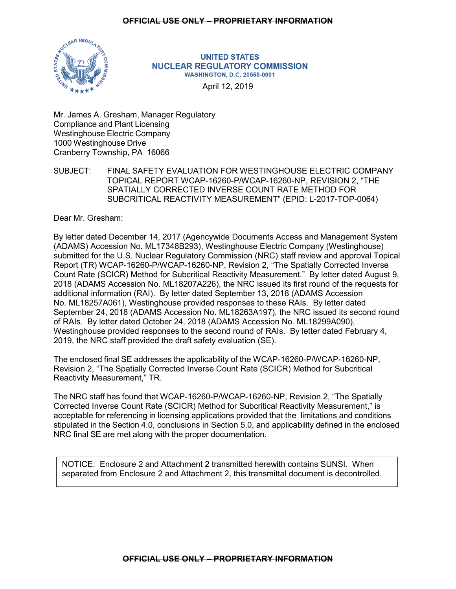# **OFFICIAL USE ONLY – PROPRIETARY INFORMATION**



#### **UNITED STATES NUCLEAR REGULATORY COMMISSION WASHINGTON, D.C. 20555-0001**

April 12, 2019

Mr. James A. Gresham, Manager Regulatory Compliance and Plant Licensing Westinghouse Electric Company 1000 Westinghouse Drive Cranberry Township, PA 16066

SUBJECT: FINAL SAFETY EVALUATION FOR WESTINGHOUSE ELECTRIC COMPANY TOPICAL REPORT WCAP-16260-P/WCAP-16260-NP, REVISION 2, "THE SPATIALLY CORRECTED INVERSE COUNT RATE METHOD FOR SUBCRITICAL REACTIVITY MEASUREMENT" (EPID: L-2017-TOP-0064)

Dear Mr. Gresham:

By letter dated December 14, 2017 (Agencywide Documents Access and Management System (ADAMS) Accession No. ML17348B293), Westinghouse Electric Company (Westinghouse) submitted for the U.S. Nuclear Regulatory Commission (NRC) staff review and approval Topical Report (TR) WCAP-16260-P/WCAP-16260-NP, Revision 2, "The Spatially Corrected Inverse Count Rate (SCICR) Method for Subcritical Reactivity Measurement." By letter dated August 9, 2018 (ADAMS Accession No. ML18207A226), the NRC issued its first round of the requests for additional information (RAI). By letter dated September 13, 2018 (ADAMS Accession No. ML18257A061), Westinghouse provided responses to these RAIs. By letter dated September 24, 2018 (ADAMS Accession No. ML18263A197), the NRC issued its second round of RAIs. By letter dated October 24, 2018 (ADAMS Accession No. ML18299A090), Westinghouse provided responses to the second round of RAIs. By letter dated February 4, 2019, the NRC staff provided the draft safety evaluation (SE).

The enclosed final SE addresses the applicability of the WCAP-16260-P/WCAP-16260-NP, Revision 2, "The Spatially Corrected Inverse Count Rate (SCICR) Method for Subcritical Reactivity Measurement," TR.

The NRC staff has found that WCAP-16260-P/WCAP-16260-NP, Revision 2, "The Spatially Corrected Inverse Count Rate (SCICR) Method for Subcritical Reactivity Measurement," is acceptable for referencing in licensing applications provided that the limitations and conditions stipulated in the Section 4.0, conclusions in Section 5.0, and applicability defined in the enclosed NRC final SE are met along with the proper documentation.

NOTICE: Enclosure 2 and Attachment 2 transmitted herewith contains SUNSI. When separated from Enclosure 2 and Attachment 2, this transmittal document is decontrolled.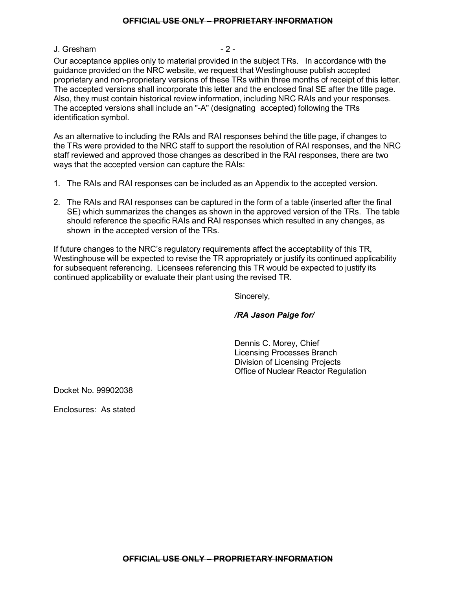## **OFFICIAL USE ONLY – PROPRIETARY INFORMATION**

## J. Gresham  $-2$  -

Our acceptance applies only to material provided in the subject TRs. In accordance with the guidance provided on the NRC website, we request that Westinghouse publish accepted proprietary and non-proprietary versions of these TRs within three months of receipt of this letter. The accepted versions shall incorporate this letter and the enclosed final SE after the title page. Also, they must contain historical review information, including NRC RAIs and your responses. The accepted versions shall include an "-A" (designating accepted) following the TRs identification symbol.

As an alternative to including the RAIs and RAI responses behind the title page, if changes to the TRs were provided to the NRC staff to support the resolution of RAI responses, and the NRC staff reviewed and approved those changes as described in the RAI responses, there are two ways that the accepted version can capture the RAIs:

- 1. The RAIs and RAI responses can be included as an Appendix to the accepted version.
- 2. The RAIs and RAI responses can be captured in the form of a table (inserted after the final SE) which summarizes the changes as shown in the approved version of the TRs. The table should reference the specific RAIs and RAI responses which resulted in any changes, as shown in the accepted version of the TRs.

If future changes to the NRC's regulatory requirements affect the acceptability of this TR, Westinghouse will be expected to revise the TR appropriately or justify its continued applicability for subsequent referencing. Licensees referencing this TR would be expected to justify its continued applicability or evaluate their plant using the revised TR.

Sincerely,

# */RA Jason Paige for/*

Dennis C. Morey, Chief Licensing Processes Branch Division of Licensing Projects Office of Nuclear Reactor Regulation

Docket No. 99902038

Enclosures: As stated